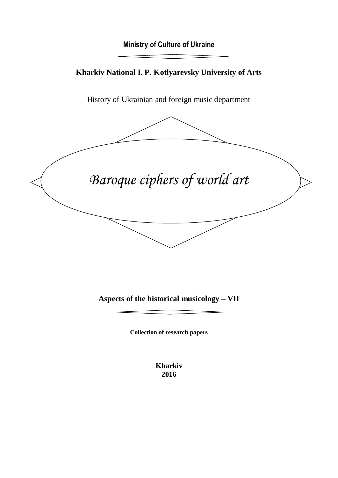# **Ministry of Culture of Ukraine**

# **Kharkiv National I. P. Kotlyarevsky University of Arts**

History of Ukrainian and foreign music department



**Aspects of the historical musicology – VII**

**Collection of research papers**

**Kharkiv 2016**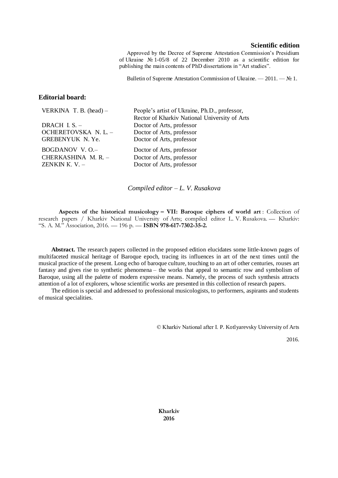#### **Scientific edition**

Approved by the Decree of Supreme Attestation Commission's Presidium of Ukraine № 1-05/8 of 22 December 2010 as a scientific edition for publishing the main contents of PhD dissertations in "Art studies".

Bulletin of Supreme Attestation Commission of Ukraine. — 2011. — № 1.

#### **Editorial board:**

| VERKINA T. B. (head) $-$ | People's artist of Ukraine, Ph.D., professor,<br>Rector of Kharkiv National University of Arts |
|--------------------------|------------------------------------------------------------------------------------------------|
| DRACH I. $S.$ –          | Doctor of Arts, professor                                                                      |
| OCHERETOVSKA N.L. -      | Doctor of Arts, professor                                                                      |
| GREBENYUK N.Ye.          | Doctor of Arts, professor                                                                      |
| BOGDANOV V.O.-           | Doctor of Arts, professor                                                                      |
| CHERKASHINA M. R. -      | Doctor of Arts, professor                                                                      |
| ZENKIN K. V. $-$         | Doctor of Arts, professor                                                                      |

*Compiled editor – L. V. Rusakova*

**Aspects of the historical musicology – VII: Baroque ciphers of world art** : Collection of research papers / Kharkiv National University of Arts; compiled editor L. V. Rusakova. — Kharkiv: "S. A. M." Association, 2016. — 196 p. — **ISBN 978-617-7302-35-2.**

**Abstract.** The research papers collected in the proposed edition elucidates some little-known pages of multifaceted musical heritage of Baroque epoch, tracing its influences in art of the next times until the musical practice of the present. Long echo of baroque culture, touching to an art of other centuries, rouses art fantasy and gives rise to synthetic phenomena – the works that appeal to semantic row and symbolism of Baroque, using all the palette of modern expressive means. Namely, the process of such synthesis attracts attention of a lot of explorers, whose scientific works are presented in this collection of research papers.

The edition is special and addressed to professional musicologists, to performers, aspirants and students of musical specialities.

© Kharkiv National after I. P. Kotlyarevsky University of Arts

2016.

**Kharkiv 2016**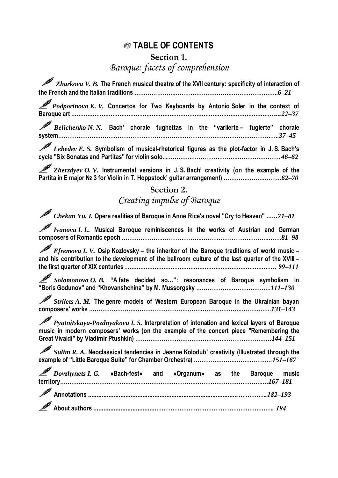# **TABLE OF CONTENTS**

**Section 1.** 

# *Baroque: facets of comprehension*

*Zharkova V. B.* **The French musical theatre of the XVII century: specificity of interaction of the French and the Italian traditions …………………………………………………………………..***6–21*

*Podporinova K. V.* **Concertos for Two Keyboards by Antonio Soler in the context of Baroque art** *………………………………………………………………………………...22–37*

*Belichenko N. N.* **Bach' chorale fughettas in the "variierte – fugierte" chorale system………………………………………………………………………………………………………..***37–45*

*Lebedev E. S.* **Symbolism of musical-rhetorical figures as the plot-factor in J. S. Bach's cycle "Six Sonatas and Partitas" for violin solo...………….…………………………………………***46–62*

*Zherzdyev O. V.* **Instrumental versions in J. S. Bach' creativity (on the example of the Partita in E major № 3 for Violin in T. Hoppstock' guitar arrangement) ………………………….***62–70*

## **Section 2.**

# *Creating impulse of Baroque*

*Chekan Yu. I.* **Opera realities of Baroque in Anne Rice's novel "Cry to Heaven" ……***71–81*

*Ivanova I. L.* **Musical Baroque reminiscences in the works of Austrian and German composers of Romantic epoch …………………………………………………………………………..***81–98*

*Efremova I. V.* **Osip Kozlovsky – the inheritor of the Baroque traditions of world music – and his contribution to the development of the ballroom culture of the last quarter of the XVIII – the first quarter of XIX centuries** *…………………………………………………………. 99–111*

*Solomonova O. B.* **"A fate decided so…": resonances of Baroque symbolism in "Boris Godunov" and "Khovanshchina" by M. Mussorgsky ………………………………….***111–130*

*Strilets A. M.* **The genre models of Western European Baroque in the Ukrainian bayan composers' works ……………………………………………………………………………………..***131–143*

*Pyatnitskaya-Pozdnyakova I. S.* **Interpretation of intonation and lexical layers of Baroque music in modern composers' works (on the example of the concert piece "Remembering the Great Vivaldi" by Vladimir Ptushkin) ……………………………………………………………….***144–151*

*Sulim R. A.* **Neoclassical tendencies in Jeanne Kolodub' creativity (Illustrated through the example of "Little Baroque Suite" for Chamber Orchestra) ……………………………………***151–167*

*Dovzhynets I. G.* **«Bach-fest» and «Organum» as the Baroque music territory………………………………………………………………………………………………….***167–181* **Annotations** *........................................................................................………….182–193* **About authors** *.....................................……………………………………………. 194*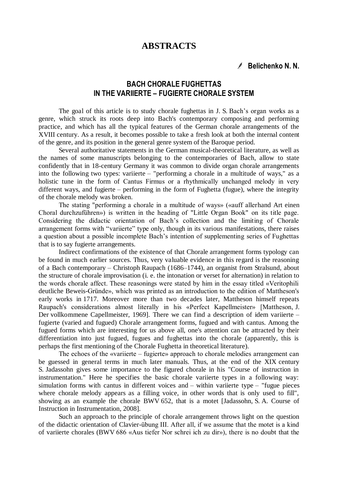#### **ABSTRACTS**

#### **Belichenko N. N.**

## **BACH CHORALE FUGHETTAS IN THE VARIIERTE – FUGIERTE CHORALE SYSTEM**

The goal of this article is to study chorale fughettas in J. S. Bach's organ works as a genre, which struck its roots deep into Bach's contemporary composing and performing practice, and which has all the typical features of the German chorale arrangements of the XVIII century. As a result, it becomes possible to take a fresh look at both the internal content of the genre, and its position in the general genre system of the Baroque period.

Several authoritative statements in the German musical-theoretical literature, as well as the names of some manuscripts belonging to the contemporaries of Bach, allow to state confidently that in 18-century Germany it was common to divide organ chorale arrangements into the following two types: variierte – "performing a chorale in a multitude of ways," as a holistic tune in the form of Сantus Firmus or a rhythmically unchanged melody in very different ways, and fugierte – performing in the form of Fughetta (fugue), where the integrity of the chorale melody was broken.

The stating "performing a chorale in a multitude of ways» («auff allerhand Art einen Choral durchzuführen») is written in the heading of "Little Organ Book" on its title page. Considering the didactic orientation of Bach's collection and the limiting of Chorale arrangement forms with "variierte" type only, though in its various manifestations, there raises a question about a possible incomplete Bach's intention of supplementing series of Fughettas that is to say fugierte arrangements.

Indirect confirmations of the existence of that Chorale arrangement forms typology can be found in much earlier sources. Thus, very valuable evidence in this regard is the reasoning of a Bach contemporary – Christoph Raupach (1686–1744), an organist from Stralsund, about the structure of chorale improvisation (i. e. the intonation or verset for alternation) in relation to the words chorale affect. These reasonings were stated by him in the essay titled «Veritophili deutliche Beweis-Gründe», which was printed as an introduction to the edition of Mattheson's early works in 1717. Moreover more than two decades later, Mattheson himself repeats Raupach's considerations almost literally in his «Perfect Kapellmeister» [Mattheson, J. Der vollkommene Capellmeister, 1969]. There we can find a description of idem variierte – fugierte (varied and fugued) Chorale arrangement forms, fugued and with cantus. Among the fugued forms which are interesting for us above all, one's attention can be attracted by their differentiation into just fugued, fugues and fughettas into the chorale (apparently, this is perhaps the first mentioning of the Chorale Fughetta in theoretical literature).

The echoes of the «variierte – fugierte» approach to chorale melodies arrangement can be guessed in general terms in much later manuals. Thus, at the end of the XIX century S. Jadassohn gives some importance to the figured chorale in his "Course of instruction in instrumentation." Here he specifies the basic chorale variierte types in a following way: simulation forms with cantus in different voices and – within variierte type – "fugue pieces where chorale melody appears as a filling voice, in other words that is only used to fill", showing as an example the chorale BWV 652, that is a motet [Jadassohn, S. A. Course of Instruction in Instrumentation, 2008].

Such an approach to the principle of chorale arrangement throws light on the question of the didactic orientation of Clavier-übung III. After all, if we assume that the motet is a kind of variierte chorales (BWV 686 «Aus tiefer Nor schrei ich zu dir»), there is no doubt that the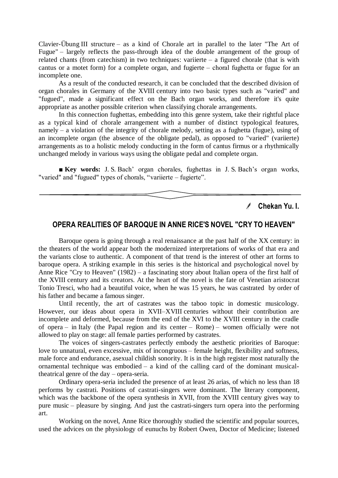Clavier-Übung III structure – as a kind of Chorale art in parallel to the later "The Art of Fugue" – largely reflects the pass-through idea of the double arrangement of the group of related chants (from catechism) in two techniques: variierte – a figured chorale (that is with cantus or a motet form) for a complete organ, and fugierte – сhoral fughetta or fugue for an incomplete one.

As a result of the conducted research, it can be concluded that the described division of organ chorales in Germany of the XVIII century into two basic types such as "varied" and "fugued", made a significant effect on the Bach organ works, and therefore it's quite appropriate as another possible criterion when classifying chorale arrangements.

In this connection fughettas, embedding into this genre system, take their rightful place as a typical kind of chorale arrangement with a number of distinct typological features, namely – a violation of the integrity of chorale melody, setting as a fughetta (fugue), using of an incomplete organ (the absence of the obligate pedal), as opposed to "varied" (variierte) arrangements as to a holistic melody conducting in the form of cantus firmus or a rhythmically unchanged melody in various ways using the obligate pedal and complete organ.

**■ Key words:** J. S. Bach' organ chorales, fughettas in J. S. Bach's organ works, "varied" and "fugued" types of chorals, "variierte – fugierte".

> $\sqrt{2}$ **Chekan Yu. I.**

#### **OPERA REALITIES OF BAROQUE IN ANNE RICE'S NOVEL "CRY TO HEAVEN"**

Baroque opera is going through a real renaissance at the past half of the XX century: in the theaters of the world appear both the modernized interpretations of works of that era and the variants close to authentic. A component of that trend is the interest of other art forms to baroque opera. A striking example in this series is the historical and psychological novel by Anne Rice "Cry to Heaven" (1982) – a fascinating story about Italian opera of the first half of the XVIII century and its creators. At the heart of the novel is the fate of Venetian aristocrat Tonio Tresci, who had a beautiful voice, when he was 15 years, he was castrated by order of his father and became a famous singer.

Until recently, the art of castrates was the taboo topic in domestic musicology. However, our ideas about opera in XVII–XVIII centuries without their contribution are incomplete and deformed, because from the end of the XVI to the XVIII century in the cradle of opera – in Italy (the Papal region and its center – Rome) – women officially were not allowed to play on stage: all female parties performed by castrates.

The voices of singers-castrates perfectly embody the aesthetic priorities of Baroque: love to unnatural, even excessive, mix of incongruous – female height, flexibility and softness, male force and endurance, asexual childish sonority. It is in the high register most naturally the ornamental technique was embodied – a kind of the calling card of the dominant musicaltheatrical genre of the day – opera-seria.

Ordinary opera-seria included the presence of at least 26 arias, of which no less than 18 performs by castrati. Positions of castrati-singers were dominant. The literary component, which was the backbone of the opera synthesis in XVII, from the XVIII century gives way to pure music – pleasure by singing. And just the castrati-singers turn opera into the performing art.

Working on the novel, Anne Rice thoroughly studied the scientific and popular sources, used the advices on the physiology of eunuchs by Robert Owen, Doctor of Medicine; listened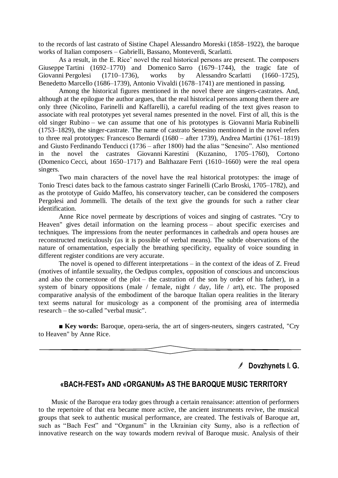to the records of last castrato of Sistine Chapel Alessandro Moreski (1858–1922), the baroque works of Italian composers – Gabrielli, Bassano, Monteverdi, Scarlatti.

As a result, in the E. Rice' novel the real historical persons are present. The composers Giuseppe Tartini (1692–1770) and Domenico Sarro (1679–1744), the tragic fate of Giovanni Pergolesi (1710–1736), works by Alessandro Scarlatti (1660–1725), Benedetto Marcello (1686–1739), Antonio Vivaldi (1678–1741) are mentioned in passing.

Among the historical figures mentioned in the novel there are singers-castrates. And, although at the epilogue the author argues, that the real historical persons among them there are only three (Nicolino, Farinelli and Kaffarelli), a careful reading of the text gives reason to associate with real prototypes yet several names presented in the novel. First of all, this is the old singer Rubino – we can assume that one of his prototypes is Giovanni Maria Rubinelli (1753–1829), the singer-castrate. The name of castrato Senesino mentioned in the novel refers to three real prototypes: Francesco Bernardi (1680 – after 1739), Andrea Martini (1761–1819) and Giusto Ferdinando Tenducci (1736 – after 1800) had the alias "Senesino". Also mentioned in the novel the castrates Giovanni Karestini (Kuzanino, 1705–1760), Cortono (Domenico Cecci, about 1650–1717) and Balthazare Ferri (1610–1660) were the real opera singers.

Two main characters of the novel have the real historical prototypes: the image of Tonio Tresci dates back to the famous castrato singer Farinelli (Carlo Broski, 1705–1782), and as the prototype of Guido Maffeo, his conservatory teacher, can be considered the composers Pergolesi and Jommelli. The details of the text give the grounds for such a rather clear identification.

Anne Rice novel permeate by descriptions of voices and singing of castrates. "Cry to Heaven" gives detail information on the learning process – about specific exercises and techniques. The impressions from the neuter performances in cathedrals and opera houses are reconstructed meticulously (as it is possible of verbal means). The subtle observations of the nature of ornamentation, especially the breathing specificity, equality of voice sounding in different register conditions are very accurate.

The novel is opened to different interpretations – in the context of the ideas of Z. Freud (motives of infantile sexuality, the Oedipus complex, opposition of conscious and unconscious and also the cornerstone of the plot – the castration of the son by order of his father), in a system of binary oppositions (male / female, night / day, life / art), etc. The proposed comparative analysis of the embodiment of the baroque Italian opera realities in the literary text seems natural for musicology as a component of the promising area of intermedia research – the so-called "verbal music".

■ **Key words:** Baroque, opera-seria, the art of singers-neuters, singers castrated, "Cry to Heaven" by Anne Rice.

**Dovzhynets I. G.**

#### **«BACH-FEST» AND «ORGANUM» AS THE BAROQUE MUSIC TERRITORY**

Music of the Baroque era today goes through a certain renaissance: attention of performers to the repertoire of that era became more active, the ancient instruments revive, the musical groups that seek to authentic musical performance, are created. The festivals of Baroque art, such as "Bach Fest" and "Organum" in the Ukrainian city Sumy, also is a reflection of innovative research on the way towards modern revival of Baroque music. Analysis of their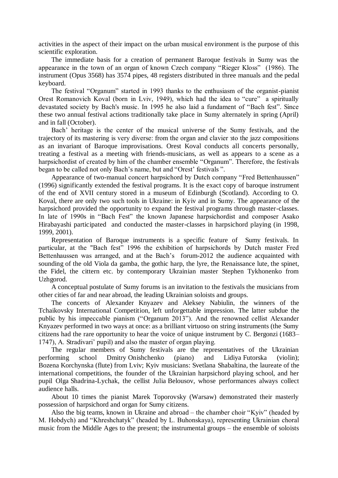activities in the aspect of their impact on the urban musical environment is the purpose of this scientific exploration.

The immediate basis for a creation of permanent Baroque festivals in Sumy was the appearance in the town of an organ of known Czech company "Rieger Kloss" (1986). The instrument (Opus 3568) has 3574 pipes, 48 registers distributed in three manuals and the pedal keyboard.

The festival "Organum" started in 1993 thanks to the enthusiasm of the organist-pianist Orest Romanovich Koval (born in Lviv, 1949), which had the idea to "cure" a spiritually devastated society by Bach's music. In 1995 he also laid a fundament of "Bach fest". Since these two annual festival actions traditionally take place in Sumy alternately in spring (April) and in fall (October).

Bach' heritage is the center of the musical universe of the Sumy festivals, and the trajectory of its mastering is very diverse: from the organ and clavier зto the jazz compositions as an invariant of Baroque improvisations. Orest Koval conducts all concerts personally, treating a festival as a meeting with friends-musicians, as well as appears to a scene as a harpsichordist of created by him of the chamber ensemble "Organum". Therefore, the festivals began to be called not only Bach's name, but and "Orest' festivals".

Appearance of two-manual concert harpsichord by Dutch company "Fred Bettenhaussen" (1996) significantly extended the festival programs. It is the exact copy of baroque instrument of the end of XVII century stored in a museum of Edinburgh (Scotland). According to O. Koval, there are only two such tools in Ukraine: in Kyiv and in Sumy. The appearance of the harpsichord provided the opportunity to expand the festival programs through master-classes. In late of 1990s in "Bach Fest" the known Japanese harpsichordist and composer Asako Hirabayashi participated and conducted the master-classes in harpsichord playing (in 1998, 1999, 2001).

Representation of Baroque instruments is a specific feature of Sumy festivals. In particular, at the "Bach fest" 1996 the exhibition of harpsichords by Dutch master Fred Bettenhaussen was arranged, and at the Bach's forum-2012 the audience acquainted with sounding of the old Viola da gamba, the gothic harp, the lyre, the Renaissance lute, the spinet, the Fidel, the cittern etc. by contemporary Ukrainian master Stephen Tykhonenko from Uzhgorod.

A conceptual postulate of Sumy forums is an invitation to the festivals the musicians from other cities of far and near abroad, the leading Ukrainian soloists and groups.

The concerts of Alexander Knyazev and Aleksey Nabiulin, the winners of the Tchaikovsky International Competition, left unforgettable impression. The latter subdue the public by his impeccable pianism ("Organum 2013"). And the renowned cellist Alexander Knyazev performed in two ways at once: as a brilliant virtuoso on string instruments (the Sumy citizens had the rare opportunity to hear the voice of unique instrument by C. Bergonzi (1683– 1747), A. Stradivari' pupil) and also the master of organ playing.

The regular members of Sumy festivals are the representatives of the Ukrainian performing school Dmitry Onishchenko (piano) and Lidiya Futorska (violin); Bozena Korchynska (flute) from Lviv; Kyiv musicians: Svetlana Shabaltina, the laureate of the international competitions, the founder of the Ukrainian harpsichord playing school, and her pupil Olga Shadrina-Lychak, the cellist Julia Belousov, whose performances always collect audience halls.

About 10 times the pianist Marek Toporovsky (Warsaw) demonstrated their masterly possession of harpsichord and organ for Sumy citizens.

Also the big teams, known in Ukraine and abroad – the chamber choir "Kyiv" (headed by M. Hobdych) and "Khreshchatyk" (headed by L. Buhonskaya), representing Ukrainian choral music from the Middle Ages to the present; the instrumental groups – the ensemble of soloists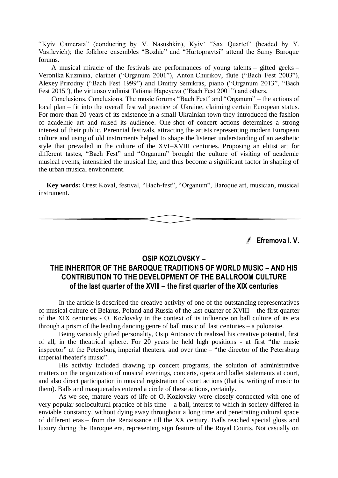"Kyiv Camerata" (conducting by V. Nasushkin), Kyiv' "Sax Quartet" (headed by Y. Vasilevich); the folklore ensembles "Bozhic" and "Hurtopravtsi" attend the Sumy Baroque forums.

A musical miracle of the festivals are performances of young talents – gifted geeks – Veronika Kuzmina, clarinet ("Organum 2001"), Anton Churikov, flute ("Bach Fest 2003"), Alexey Prirodny ("Bach Fest 1999") and Dmitry Semikras, piano ("Organum 2013", "Bach Fest 2015"), the virtuoso violinist Tatiana Hapeyeva ("Bach Fest 2001") and others.

Conclusions. Conclusions. The music forums "Bach Fest" and "Organum" – the actions of local plan – fit into the overall festival practice of Ukraine, claiming certain European status. For more than 20 years of its existence in a small Ukrainian town they introduced the fashion of academic art and raised its audience. Оnе-shot of concert actions determines a strong interest of their public. Perennial festivals, attracting the artists representing modern European culture and using of old instruments helped to shape the listener understanding of an aesthetic style that prevailed in the culture of the XVI–XVIII centuries. Proposing an elitist art for different tastes, "Bach Fest" and "Organum" brought the culture of visiting of academic musical events, intensified the musical life, and thus become a significant factor in shaping of the urban musical environment.

Key words: Orest Koval, festival, "Bach-fest", "Organum", Baroque art, musician, musical instrument.

**Efremova I. V.** 

#### **OSIP KOZLOVSKY –**

## **THE INHERITOR OF THE BAROQUE TRADITIONS OF WORLD MUSIC – AND HIS CONTRIBUTION TO THE DEVELOPMENT OF THE BALLROOM CULTURE of the last quarter of the XVIII – the first quarter of the XIX centuries**

In the article is described the creative activity of one of the outstanding representatives of musical culture of Belarus, Poland and Russia of the last quarter of XVIII – the first quarter of the XIX centuries - O. Kozlovsky in the context of its influence on ball culture of its era through a prism of the leading dancing genre of ball music of last centuries – a polonaise.

Being variously gifted personality, Osip Antonovich realized his creative potential, first of all, in the theatrical sphere. For 20 years he held high positions - at first "the music inspector" at the Petersburg imperial theaters, and over time – "the director of the Petersburg imperial theater's music".

His activity included drawing up concert programs, the solution of administrative matters on the organization of musical evenings, concerts, opera and ballet statements at court, and also direct participation in musical registration of court actions (that is, writing of music to them). Balls and masquerades entered a circle of these actions, certainly.

As we see, mature years of life of O. Kozlovsky were closely connected with one of very popular sociocultural practice of his time – a ball, interest to which in society differed in enviable constancy, without dying away throughout a long time and penetrating cultural space of different eras – from the Renaissance till the XX century. Balls reached special gloss and luxury during the Baroque era, representing sign feature of the Royal Courts. Not casually on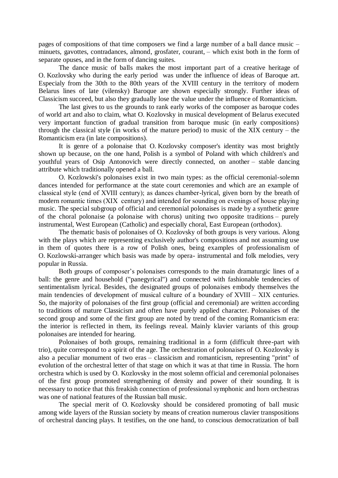pages of compositions of that time composers we find a large number of a ball dance music – minuets, gavottes, contradances, almond, grosfater, courant, – which exist both in the form of separate opuses, and in the form of dancing suites.

The dance music of balls makes the most important part of a creative heritage of O. Kozlovsky who during the early period was under the influence of ideas of Baroque art. Especialy from the 30th to the 80th years of the XVIII century in the territory of modern Belarus lines of late (vilensky) Baroque are shown especially strongly. Further ideas of Classicism succeed, but also they gradually lose the value under the influence of Romanticism.

The last gives to us the grounds to rank early works of the composer as baroque codes of world art and also to claim, what O. Kozlovsky in musical development of Belarus executed very important function of gradual transition from baroque music (in early compositions) through the classical style (in works of the mature period) to music of the XIX century – the Romanticism era (in late compositions).

It is genre of a polonaise that O. Kozlovsky composer's identity was most brightly shown up because, on the one hand, Polish is a symbol of Poland with which children's and youthful years of Osip Antonovich were directly connected, on another – stable dancing attribute which traditionally opened a ball.

O. Kozlowski's polonaises exist in two main types: as the official ceremonial-solemn dances intended for performance at the state court ceremonies and which are an example of classical style (end of XVІІІ century); as dances chamber-lyrical, given born by the breath of modern romantic times (XIX century) and intended for sounding on evenings of house playing music. The special subgroup of official and ceremonial polonaises is made by a synthetic genre of the choral polonaise (a polonaise with chorus) uniting two opposite traditions – purely instrumental, West European (Catholic) and especially choral, East European (orthodox).

The thematic basis of polonaises of O. Kozlovsky of both groups is very various. Along with the plays which are representing exclusively author's compositions and not assuming use in them of quotes there is a row of Polish ones, being examples of professionalism of O. Kozlowski-arranger which basis was made by opera- instrumental and folk melodies, very popular in Russia.

Both groups of composer's polonaises corresponds to the main dramaturgic lines of a ball: the genre and household ("panegyrical") and connected with fashionable tendencies of sentimentalism lyrical. Besides, the designated groups of polonaises embody themselves the main tendencies of development of musical culture of a boundary of ХVІІІ – ХІХ centuries. So, the majority of polonaises of the first group (official and ceremonial) are written according to traditions of mature Classicism and often have purely applied character. Polonaises of the second group and some of the first group are noted by trend of the coming Romanticism era: the interior is reflected in them, its feelings reveal. Mainly klavier variants of this group polonaises are intended for hearing.

Polonaises of both groups, remaining traditional in a form (difficult three-part with trio), quite correspond to a spirit of the age. The orchestration of polonaises of O. Kozlovsky is also a peculiar monument of two eras – classicism and romanticism, representing "print" of evolution of the orchestral letter of that stage on which it was at that time in Russia. The horn orchestra which is used by O. Kozlovsky in the most solemn official and ceremonial polonaises of the first group promoted strengthening of density and power of their sounding. It is necessary to notice that this freakish connection of professional symphonic and horn orchestras was one of national features of the Russian ball music.

The special merit of O. Kozlovsky should be considered promoting of ball music among wide layers of the Russian society by means of creation numerous clavier transpositions of orchestral dancing plays. It testifies, on the one hand, to conscious democratization of ball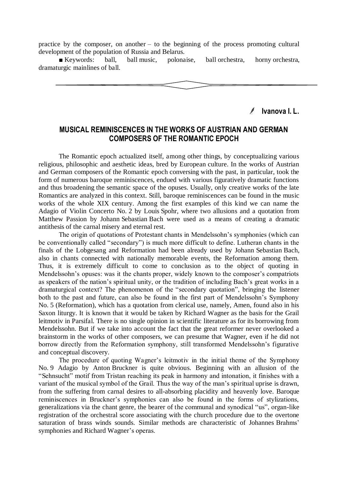practice by the composer, on another – to the beginning of the process promoting cultural development of the population of Russia and Belarus.

■ Keywords: ball, ball music, polonaise, ball orchestra, horny orchestra, dramaturgic mainlines of ball.

**Ivanova I. L.**

#### **MUSICAL REMINISCENCES IN THE WORKS OF AUSTRIAN AND GERMAN COMPOSERS OF THE ROMANTIC EPOCH**

The Romantic epoch actualized itself, among other things, by conceptualizing various religious, philosophic and aesthetic ideas, bred by European culture. In the works of Austrian and German composers of the Romantic epoch conversing with the past, in particular, took the form of numerous baroque reminiscences, endued with various figuratively dramatic functions and thus broadening the semantic space of the opuses. Usually, only creative works of the late Romantics are analyzed in this context. Still, baroque reminiscences can be found in the music works of the whole XIX century. Among the first examples of this kind we can name the Adagio of Violin Concerto No. 2 by Louis Spohr, where two allusions and a quotation from Matthew Passion by Johann Sebastian Bach were used as a means of creating a dramatic antithesis of the carnal misery and eternal rest.

The origin of quotations of Protestant chants in Mendelssohn's symphonies (which can be conventionally called "secondary") is much more difficult to define. Lutheran chants in the finals of the Lobgesang and Reformation had been already used by Johann Sebastian Bach, also in chants connected with nationally memorable events, the Reformation among them. Thus, it is extremely difficult to come to conclusion as to the object of quoting in Mendelssohn's opuses: was it the chants proper, widely known to the composer's compatriots as speakers of the nation's spiritual unity, or the tradition of including Bach's great works in a dramaturgical context? The phenomenon of the "secondary quotation", bringing the listener both to the past and future, can also be found in the first part of Mendelssohn's Symphony No. 5 (Reformation), which has a quotation from clerical use, namely, Amen, found also in his Saxon liturgy. It is known that it would be taken by Richard Wagner as the basis for the Grail leitmotiv in Parsifal. There is no single opinion in scientific literature as for its borrowing from Mendelssohn. But if we take into account the fact that the great reformer never overlooked a brainstorm in the works of other composers, we can presume that Wagner, even if he did not borrow directly from the Reformation symphony, still transformed Mendelssohn's figurative and conceptual discovery.

The procedure of quoting Wagner's leitmotiv in the initial theme of the Symphony No. 9 Adagio by Anton Bruckner is quite obvious. Beginning with an allusion of the "Sehnsucht" motif from Tristan reaching its peak in harmony and intonation, it finishes with a variant of the musical symbol of the Grail. Thus the way of the man's spiritual uprise is drawn, from the suffering from carnal desires to all-absorbing placidity and heavenly love. Baroque reminiscences in Bruckner's symphonies can also be found in the forms of stylizations, generalizations via the chant genre, the bearer of the communal and synodical "us", organ-like registration of the orchestral score associating with the church procedure due to the overtone saturation of brass winds sounds. Similar methods are characteristic of Johannes Brahms' symphonies and Richard Wagner's operas.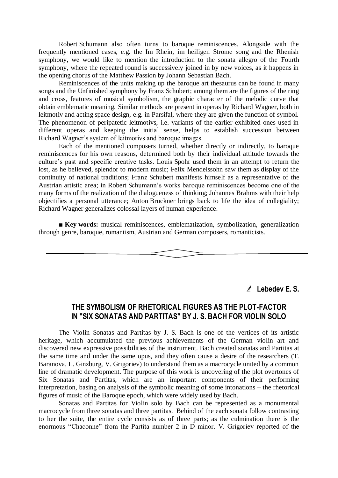Robert Schumann also often turns to baroque reminiscences. Alongside with the frequently mentioned cases, e.g. the Im Rhein, im heiligen Strome song and the Rhenish symphony, we would like to mention the introduction to the sonata allegro of the Fourth symphony, where the repeated round is successively joined in by new voices, as it happens in the opening chorus of the Matthew Passion by Johann Sebastian Bach.

Reminiscences of the units making up the baroque art thesaurus can be found in many songs and the Unfinished symphony by Franz Schubert; among them are the figures of the ring and cross, features of musical symbolism, the graphic character of the melodic curve that obtain emblematic meaning. Similar methods are present in operas by Richard Wagner, both in leitmotiv and acting space design, e.g. in Parsifal, where they are given the function of symbol. The phenomenon of peripatetic leitmotivs, i.e. variants of the earlier exhibited ones used in different operas and keeping the initial sense, helps to establish succession between Richard Wagner's system of leitmotivs and baroque images.

Each of the mentioned composers turned, whether directly or indirectly, to baroque reminiscences for his own reasons, determined both by their individual attitude towards the culture's past and specific creative tasks. Louis Spohr used them in an attempt to return the lost, as he believed, splendor to modern music; Felix Mendelssohn saw them as display of the continuity of national traditions; Franz Schubert manifests himself as a representative of the Austrian artistic area; in Robert Schumann's works baroque reminiscences become one of the many forms of the realization of the dialogueness of thinking; Johannes Brahms with their help objectifies a personal utterance; Anton Bruckner brings back to life the idea of collegiality; Richard Wagner generalizes colossal layers of human experience.

**■ Key words:** musical reminiscences, emblematization, symbolization, generalization through genre, baroque, romantism, Austrian and German composers, romanticists.

**Lebedev E. S.**

#### **THE SYMBOLISM OF RHETORICAL FIGURES AS THE PLOT-FACTOR IN "SIX SONATAS AND PARTITAS" BY J. S. BACH FOR VIOLIN SOLO**

The Violin Sonatas and Partitas by J. S. Bach is one of the vertices of its artistic heritage, which accumulated the previous achievements of the German violin art and discovered new expressive possibilities of the instrument. Bach created sonatas and Partitas at the same time and under the same opus, and they often cause a desire of the researchers (T. Baranova, L. Ginzburg, V. Grigoriev) to understand them as a macrocycle united by a common line of dramatic development. The purpose of this work is uncovering of the plot overtones of Six Sonatas and Partitas, which are an important components of their performing interpretation, basing on analysis of the symbolic meaning of some intonations – the rhetorical figures of music of the Baroque epoch, which were widely used by Bach.

Sonatas and Partitas for Violin solo by Bach can be represented as a monumental macrocycle from three sonatas and three partitas. Behind of the each sonata follow contrasting to her the suite, the entire cycle consists as of three parts; as the culmination there is the enormous "Chaconne" from the Partita number 2 in D minor. V. Grigoriev reported of the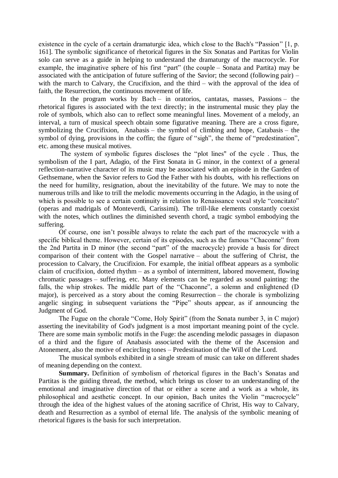existence in the cycle of a certain dramaturgic idea, which close to the Bach's "Passion" [1, p. 161]. The symbolic significance of rhetorical figures in the Six Sonatas and Partitas for Violin solo can serve as a guide in helping to understand the dramaturgy of the macrocycle. For example, the imaginative sphere of his first "part" (the couple – Sonata and Partita) may be associated with the anticipation of future suffering of the Savior; the second (following pair) – with the march to Calvary, the Crucifixion, and the third – with the approval of the idea of faith, the Resurrection, the continuous movement of life.

In the program works by Bach – in oratorios, cantatas, masses, Passions – the rhetorical figures is associated with the text directly; in the instrumental music they play the role of symbols, which also can to reflect some meaningful lines. Movement of a melody, an interval, a turn of musical speech obtain some figurative meaning. There are a cross figure, symbolizing the Crucifixion, Anabasis – the symbol of climbing and hope, Catabasis – the symbol of dying, provisions in the coffin; the figure of "sigh", the theme of "predestination", etc. among these musical motives.

The system of symbolic figures discloses the "plot lines" of the cycle. Thus, the symbolism of the I part, Adagio, of the First Sonata in G minor, in the context of a general reflection-narrative character of its music may be associated with an episode in the Garden of Gethsemane, when the Savior refers to God the Father with his doubts, with his reflections on the need for humility, resignation, about the inevitability of the future. We may to note the numerous trills and like to trill the melodic movements occurring in the Adagio, in the using of which is possible to see a certain continuity in relation to Renaissance vocal style "concitato" (operas and madrigals of Monteverdi, Carissimi). The trill-like elements constantly coexist with the notes, which outlines the diminished seventh chord, a tragic symbol embodying the suffering.

Of course, one isn't possible always to relate the each part of the macrocycle with a specific biblical theme. However, certain of its episodes, such as the famous "Chaconne" from the 2nd Partita in D minor (the second "part" of the macrocycle) provide a basis for direct comparison of their content with the Gospel narrative – about the suffering of Christ, the procession to Calvary, the Crucifixion. For example, the initial offbeat appears as a symbolic claim of crucifixion, dotted rhythm – as a symbol of intermittent, labored movement, flowing chromatic passages – suffering, etc. Many elements can be regarded as sound painting: the falls, the whip strokes. The middle part of the "Chaconne", a solemn and enlightened (D major), is perceived as a story about the coming Resurrection – the chorale is symbolizing angelic singing; in subsequent variations the "Pipe" shouts appear, as if announcing the Judgment of God.

The Fugue on the chorale "Come, Holy Spirit" (from the Sonata number 3, in C major) asserting the inevitability of God's judgment is a most important meaning point of the cycle. There are some main symbolic motifs in the Fuge: the ascending melodic passages in diapason of a third and the figure of Anabasis associated with the theme of the Ascension and Atonement, also the motive of encircling tones – Predestination of the Will of the Lord.

The musical symbols exhibited in a single stream of music can take on different shades of meaning depending on the context.

**Summary.** Definition of symbolism of rhetorical figures in the Bach's Sonatas and Partitas is the guiding thread, the method, which brings us closer to an understanding of the emotional and imaginative direction of that or either a scene and a work as a whole, its philosophical and aesthetic concept. In our opinion, Bach unites the Violin "macrocycle" through the idea of the highest values of the atoning sacrifice of Christ, His way to Calvary, death and Resurrection as a symbol of eternal life. The analysis of the symbolic meaning of rhetorical figures is the basis for such interpretation.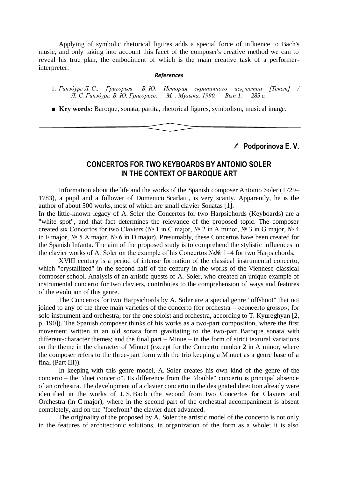Applying of symbolic rhetorical figures adds a special force of influence to Bach's music, and only taking into account this facet of the composer's creative method we can to reveal his true plan, the embodiment of which is the main creative task of a performerinterpreter.

#### *References*

1. *Гинзбург Л. С., Григорьев В. Ю. История скрипичного искусства [Текст] / Л. С. Гинзбург, В. Ю. Григорьев. — М. : Музыка, 1990. — Вып 1. — 285 с.*

■ **Key words:** Baroque, sonata, partita, rhetorical figures, symbolism, musical image.

**Podporinova E. V.**

#### **CONCERTOS FOR TWO KEYBOARDS BY ANTONIO SOLER IN THE CONTEXT OF BAROQUE ART**

Information about the life and the works of the Spanish composer Antonio Soler (1729– 1783), a pupil and a follower of Domenico Scarlatti, is very scanty. Apparently, he is the author of about 500 works, most of which are small clavier Sonatas [1].

In the little-known legacy of A. Soler the Concertos for two Harpsichords (Keyboards) are a "white spot", and that fact determines the relevance of the proposed topic. The composer created six Concertos for two Claviers (№ 1 in C major, № 2 in A minor, № 3 in G major, № 4 in F major, № 5 A major, № 6 in D major). Presumably, these Concertos have been created for the Spanish Infanta. The aim of the proposed study is to comprehend the stylistic influences in the clavier works of A. Soler on the example of his Concertos №№ 1–4 for two Harpsichords.

XVIII century is a period of intense formation of the classical instrumental concerto, which "crystallized" in the second half of the century in the works of the Viennese classical composer school. Analysis of an artistic quests of A. Soler, who created an unique example of instrumental concerto for two claviers, contributes to the comprehension of ways and features of the evolution of this genre.

The Concertos for two Harpsichords by A. Soler are a special genre "offshoot" that not joined to any of the three main varieties of the concerto (for orchestra – «concerto grosso»; for solo instrument and orchestra; for the one soloist and orchestra, according to T. Kyureghyan [2, p. 190]). The Spanish composer thinks of his works as a two-part composition, where the first movement written in an old sonata form gravitating to the two-part Baroque sonata with different-character themes; and the final part – Minue – in the form of strict textural variations on the theme in the character of Minuet (except for the Concerto number 2 in A minor, where the composer refers to the three-part form with the trio keeping a Minuet as a genre base of a final (Part III)).

In keeping with this genre model, A. Soler creates his own kind of the genre of the concerto – the "duet concerto". Its difference from the "double" concerto is principal absence of an orchestra. The development of a clavier concerto in the designated direction already were identified in the works of J. S. Bach (the second from two Concertos for Claviers and Orchestra (in C major), where in the second part of the orchestral accompaniment is absent completely, and on the "forefront" the clavier duet advanced.

The originality of the proposed by A. Soler the artistic model of the concerto is not only in the features of architectonic solutions, in organization of the form as a whole; it is also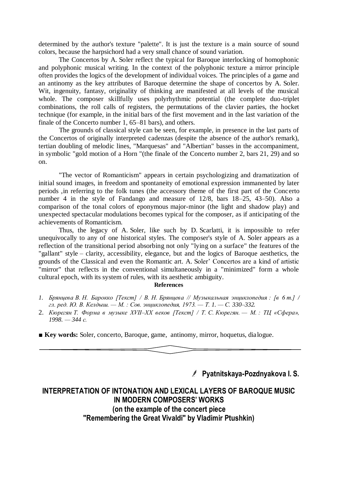determined by the author's texture "palette". It is just the texture is a main source of sound colors, because the harpsichord had a very small chance of sound variation.

The Concertos by A. Soler reflect the typical for Baroque interlocking of homophonic and polyphonic musical writing. In the context of the polyphonic texture a mirror principle often provides the logics of the development of individual voices. The principles of a game and an antinomy as the key attributes of Baroque determine the shape of concertos by A. Soler. Wit, ingenuity, fantasy, originality of thinking are manifested at all levels of the musical whole. The composer skillfully uses polyrhythmic potential (the complete duo-triplet combinations, the roll calls of registers, the permutations of the clavier parties, the hocket technique (for example, in the initial bars of the first movement and in the last variation of the finale of the Concerto number 1, 65–81 bars), and others.

The grounds of classical style can be seen, for example, in presence in the last parts of the Concertos of originally interpreted cadenzas (despite the absence of the author's remark), tertian doubling of melodic lines, "Marquesas" and "Albertian" basses in the accompaniment, in symbolic "gold motion of a Horn "(the finale of the Concerto number 2, bars 21, 29) and so on.

"The vector of Romanticism" appears in certain psychologizing and dramatization of initial sound images, in freedom and spontaneity of emotional expression immanented by later periods ,in referring to the folk tunes (the accessory theme of the first part of the Concerto number 4 in the style of Fandango and measure of 12/8, bars 18–25, 43–50). Also a comparison of the tonal colors of eponymous major-minor (the light and shadow play) and unexpected spectacular modulations becomes typical for the composer, as if anticipating of the achievements of Romanticism.

Thus, the legacy of A. Soler, like such by D. Scarlatti, it is impossible to refer unequivocally to any of one historical styles. The composer's style of A. Soler appears as a reflection of the transitional period absorbing not only "lying on a surface" the features of the "gallant" style – clarity, accessibility, elegance, but and the logics of Baroque aesthetics, the grounds of the Classical and even the Romantic art. A. Soler' Concertos are a kind of artistic "mirror" that reflects in the conventional simultaneously in a "minimized" form a whole cultural epoch, with its system of rules, with its aesthetic ambiguity.

#### **References**

- *1. Брянцева В. Н. Барокко [Текст] / В. Н. Брянцева // Музыкальная энциклопедия : [в 6 т.] / гл. ред. Ю. В. Келдыш. — М. : Сов. энциклопедия, 1973. — Т. 1. — С. 330–332.*
- 2. *Кюрегян Т. Форма в музыке XVII–XX веков [Текст] / Т. С. Кюрегян. — М. : ТЦ «Сфера», 1998. — 344 с.*

■ **Key words:** Soler, concerto, Baroque, game, antinomy, mirror, hoquetus, dialogue.

**Pyatnitskaya-Pozdnyakova I. S.**

# **INTERPRETATION OF INTONATION AND LEXICAL LAYERS OF BAROQUE MUSIC IN MODERN COMPOSERS' WORKS (on the example of the concert piece "Remembering the Great Vivaldi" by Vladimir Ptushkin)**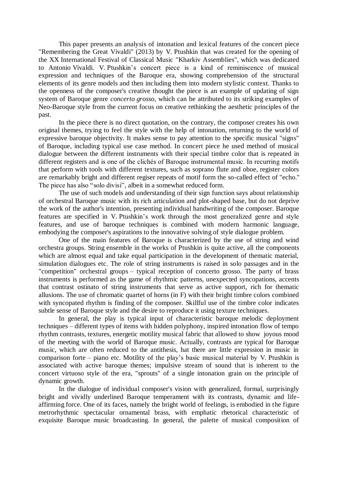This paper presents an analysis of intonation and lexical features of the concert piece "Remembering the Great Vivaldi" (2013) by V. Ptushkin that was created for the opening of the XX International Festival of Classical Music "Kharkiv Assemblies", which was dedicated to Antonio Vivaldi. V. Ptushkin's concert piece is a kind of reminiscence of musical expression and techniques of the Baroque era, showing comprehension of the structural elements of its genre models and then including them into modern stylistic context. Thanks to the openness of the composer's creative thought the piece is an example of updating of sign system of Baroque genre *concerto grosso*, which can be attributed to its striking examples of Neo-Baroque style from the current focus on creative rethinking the aesthetic principles of the past.

In the piece there is no direct quotation, on the contrary, the composer creates his own original themes, trying to feel the style with the help of intonation, returning to the world of expressive baroque objectivity. It makes sense to pay attention to the specific musical "signs" of Baroque, including typical use case method. In concert piece he used method of musical dialogue between the different instruments with their special timbre color that is repeated in different registers and is one of the clichés of Baroque instrumental music. In recurring motifs that perform with tools with different textures, such as soprano flute and oboe, register colors are remarkably bright and different regiser repeats of motif form the so-called effect of "echo." The piece has also "solo divisi", albeit in a somewhat reduced form.

The use of such models and understanding of their sign function says about relationship of orchestral Baroque music with its rich articulation and plot-shaped base, but do not deprive the work of the author's intention, presenting individual handwriting of the composer. Baroque features are specified in V. Ptushkin's work through the most generalized genre and style features, and use of baroque techniques is combined with modern harmonic language, embodying the composer's aspirations to the innovative solving of style dialogue problem.

One of the main features of Baroque is characterized by the use of string and wind orchestra groups. String ensemble in the works of Ptushkin is quite active, all the components which are almost equal and take equal participation in the development of thematic material, simulation dialogues etc. The role of string instruments is raised in solo passages and in the "competition" orchestral groups – typical reception of concerto grosso. The party of brass instruments is performed as the game of rhythmic patterns, unexpected syncopations, accents that contrast ostinato of string instruments that serve as active support, rich for thematic allusions. The use of chromatic quartet of horns (in F) with their bright timbre colors combined with syncopated rhythm is finding of the composer. Skillful use of the timbre color indicates subtle sense of Baroque style and the desire to reproduce it using texture techniques.

In general, the play is typical input of characteristic baroque melodic deployment techniques – different types of items with hidden polyphony, inspired intonation flow of tempo rhythm contrasts, textures, energetic motility musical fabric that allowed to show joyous mood of the meeting with the world of Baroque music. Actually, contrasts are typical for Baroque music, which are often reduced to the antithesis, hat there are little expression in music in comparison forte – piano etc. Motility of the play's basic musical material by V. Ptushkin is associated with active baroque themes; impulsive stream of sound that is inherent to the concert virtuoso style of the era, "sprouts" of a single intonation grain on the principle of dynamic growth.

In the dialogue of individual composer's vision with generalized, formal, surprisingly bright and vividly underlined Baroque temperament with its contrasts, dynamic and lifeaffirming force. One of its faces, namely the bright world of feelings, is embodied in the figure metrorhythmic spectacular ornamental brass, with emphatic rhetorical characteristic of exquisite Baroque music broadcasting. In general, the palette of musical composition of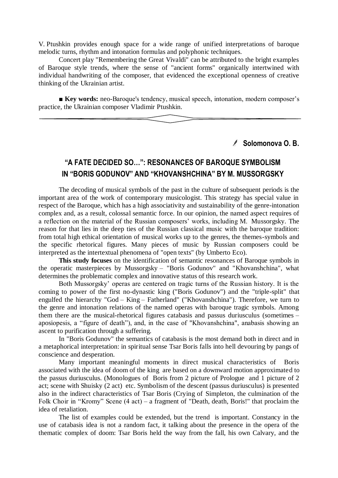V. Ptushkin provides enough space for a wide range of unified interpretations of baroque melodic turns, rhythm and intonation formulas and polyphonic techniques.

Concert play "Remembering the Great Vivaldi" can be attributed to the bright examples of Baroque style trends, where the sense of "ancient forms" organically intertwined with individual handwriting of the composer, that evidenced the exceptional openness of creative thinking of the Ukrainian artist.

■ **Key words:** neo-Baroque's tendency, musical speech, intonation, modern composer's practice, the Ukrainian composer Vladimir Ptushkin.

#### **Solomonova O. B.**

# **"A FATE DECIDED SO…": RESONANCES OF BAROQUE SYMBOLISM IN "BORIS GODUNOV" AND "KHOVANSHCHINA" BY M. MUSSORGSKY**

The decoding of musical symbols of the past in the culture of subsequent periods is the important area of the work of contemporary musicologist. This strategy has special value in respect of the Baroque, which has a high associativity and sustainability of the genre-intonation complex and, as a result, colossal semantic force. In our opinion, the named aspect requires of a reflection on the material of the Russian composers' works, including M. Mussorgsky. The reason for that lies in the deep ties of the Russian classical music with the baroque tradition: from total high ethical orientation of musical works up to the genres, the themes-symbols and the specific rhetorical figures. Many pieces of music by Russian composers could be interpreted as the intertextual phenomena of "open texts" (by Umberto Eco).

**This study focuses** on the identification of semantic resonances of Baroque symbols in the operatic masterpieces by Mussorgsky – "Boris Godunov" and "Khovanshchina", what determines the problematic complex and innovative status of this research work.

Both Mussorgsky' operas are centered on tragic turns of the Russian history. It is the coming to power of the first no-dynastic king ("Boris Godunov") and the "triple-split" that engulfed the hierarchy "God – King – Fatherland" ("Khovanshchina"). Therefore, we turn to the genre and intonation relations of the named operas with baroque tragic symbols. Among them there are the musical-rhetorical figures catabasis and passus duriusculus (sometimes – aposiopesis, a "figure of death"), and, in the case of "Khovanshchina", anabasis showing an ascent to purification through a suffering.

In "Boris Godunov" the semantics of catabasis is the most demand both in direct and in a metaphorical interpretation: in spiritual sense Tsar Boris falls into hell devouring by pangs of conscience and desperation.

Many important meaningful moments in direct musical characteristics of Boris associated with the idea of doom of the king are based on a downward motion approximated to the passus duriusculus. (Monologues of Boris from 2 picture of Prologue and 1 picture of 2 act; scene with Shuisky (2 act) etc. Symbolism of the descent (passus duriusculus) is presented also in the indirect characteristics of Tsar Boris (Crying of Simpleton, the culmination of the Folk Choir in "Kromy" Scene  $(4 \text{ act}) - a$  fragment of "Death, death, Boris!" that proclaim the idea of retaliation.

The list of examples could be extended, but the trend is important. Constancy in the use of catabasis idea is not a random fact, it talking about the presence in the opera of the thematic complex of doom: Tsar Boris held the way from the fall, his own Calvary, and the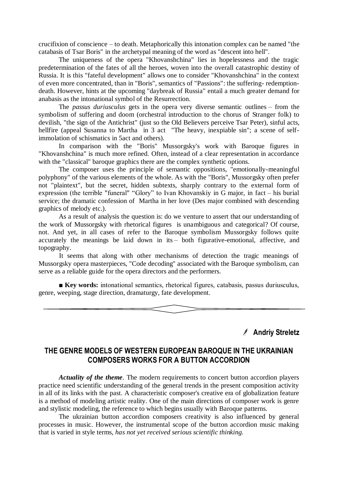crucifixion of conscience – to death. Metaphorically this intonation complex can be named "the catabasis of Tsar Boris" in the archetypal meaning of the word as "descent into hell".

The uniqueness of the opera "Khovanshchina" lies in hopelessness and the tragic predetermination of the fates of all the heroes, woven into the overall catastrophic destiny of Russia. It is this "fateful development" allows one to consider "Khovanshchina" in the context of even more concentrated, than in "Boris", semantics of "Passions": the suffering- redemptiondeath. However, hints at the upcoming "daybreak of Russia" entail a much greater demand for anabasis as the intonational symbol of the Resurrection.

The *passus duriusculus* gets in the opera very diverse semantic outlines – from the symbolism of suffering and doom (orchestral introduction to the chorus of Stranger folk) to devilish, "the sign of the Antichrist" (just so the Old Believers perceive Tsar Peter), sinful acts, hellfire (appeal Susanna to Martha in 3 act "The heavy, inexpiable sin"; a scene of selfimmolation of schismatics in 5act and others).

In comparison with the "Boris" Mussorgsky's work with Baroque figures in "Khovanshchina" is much more refined. Often, instead of a clear representation in accordance with the "classical" baroque graphics there are the complex synthetic options.

The composer uses the principle of semantic oppositions, "emotionally-meaningful polyphony" of the various elements of the whole. As with the "Boris", Mussorgsky often prefer not "plaintext", but the secret, hidden subtexts, sharply contrary to the external form of expression (the terrible "funeral" "Glory" to Ivan Khovanskiy in G major, in fact – his burial service; the dramatic confession of Martha in her love (Des major combined with descending graphics of melody etc.).

As a result of analysis the question is: do we venture to assert that our understanding of the work of Mussorgsky with rhetorical figures is unambiguous and categorical? Of course, not. And yet, in all cases of refer to the Baroque symbolism Mussorgsky follows quite accurately the meanings be laid down in its – both figurative-emotional, affective, and topography.

It seems that along with other mechanisms of detection the tragic meanings of Mussorgsky opera masterpieces, "Code decoding" associated with the Baroque symbolism, can serve as a reliable guide for the opera directors and the performers.

**■ Key words:** intonational semantics, rhetorical figures, cаtabasis, passus duriusculus, genre, weeping, stage direction, dramaturgy, fate development.

## **Andriy Streletz**

## **THE GENRE MODELS OF WESTERN EUROPEAN BAROQUE IN THE UKRAINIAN COMPOSERS WORKS FOR A BUTTON ACCORDION**

*Actuality of the theme.* The modern requirements to concert button accordion players practice need scientific understanding of the general trends in the present composition activity in all of its links with the past. A characteristic composer's creative era of globalization feature is a method of modeling artistic reality. One of the main directions of composer work is genre and stylistic modeling, the reference to which begins usually with Baroque patterns.

The ukrainian button accordion composers creativity is also influenced by general processes in music. However, the instrumental scope of the button accordion music making that is varied in style terms, *has not yet received serious scientific thinking.*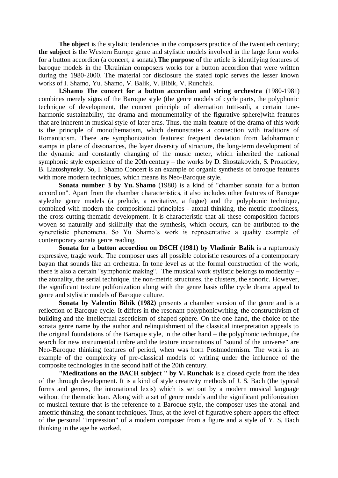The object is the stylistic tendencies in the composers practice of the twentieth century; **the subject** is the Western Europe genre and stylistic models involved in the large form works for a button accordion (a concert, a sonata).**The purpose** of the article is identifying features of baroque models in the Ukrainian composers works for a button accordion that were written during the 1980-2000. The material for disclosure the stated topic serves the lesser known works of I. Shamo, Yu. Shamo, V. Balik, V. Bibik, V. Runchak.

**I.Shamo The concert for a button accordion and string orchestra** (1980-1981) combines merely signs of the Baroque style (the genre models of cycle parts, the polyphonic technique of development, the concert principle of alternation tutti-soli, a certain tuneharmonic sustainability, the drama and monumentality of the figurative sphere)with features that are inherent in musical style of later eras. Thus, the main feature of the drama of this work is the principle of monothematism, which demonstrates a connection with traditions of Romanticism. There are symphonization features: frequent deviation from ladoharmonic stamps in plane of dissonances, the layer diversity of structure, the long-term development of the dynamic and constantly changing of the music meter, which inherited the national symphonic style experience of the 20th century – the works by D. Shostakovich, S. Prokofiev, B. Liatoshynsky. So, I. Shamo Concert is an example of organic synthesis of baroque features with more modern techniques, which means its Neo-Baroque style.

**Sonata number 3 by Yu. Shamo** (1980) is a kind of "chamber sonata for a button accordion". Apart from the chamber characteristics, it also includes other features of Baroque style:the genre models (a prelude, a recitative, a fugue) and the polyphonic technique, combined with modern the compositional principles - atonal thinking, the metric moodiness, the cross-cutting thematic development. It is characteristic that all these composition factors woven so naturally and skillfully that the synthesis, which occurs, can be attributed to the syncretistic phenomena. So Yu Shamo's work is representative a quality example of contemporary sonata genre reading.

**Sonata for a button accordion on DSCH (1981) by Vladimir Balik** is a rapturously expressive, tragic work. The composer uses all possible coloristic resources of a contemporary bayan that sounds like an orchestra. In tone level as at the formal construction of the work, there is also a certain "symphonic making". The musical work stylistic belongs to modernity – the atonality, the serial technique, the non-metric structures, the clusters, the sonoric. However, the significant texture polifonization along with the genre basis ofthe cycle drama appeal to genre and stylistic models of Baroque culture.

**Sonata by Valentin Bibik (1982)** presents a chamber version of the genre and is a reflection of Baroque cycle. It differs in the resonant-polyphonicwriting, the constructivism of building and the intellectual asceticism of shaped sphere. On the one hand, the choice of the sonata genre name by the author and relinquishment of the classical interpretation appeals to the original foundations of the Baroque style, in the other hand – the polyphonic technique, the search for new instrumental timbre and the texture incarnations of "sound of the universe" are Neo-Baroque thinking features of period, when was born Postmodernism. The work is an example of the complexity of pre-classical models of writing under the influence of the composite technologies in the second half of the 20th century.

**"Meditations on the BACH subject " by V. Runchak** is a closed cycle from the idea of the through development. It is a kind of style creativity methods of J. S. Bach (the typical forms and genres, the intonational lexis) which is set out by a modern musical language without the thematic loan. Along with a set of genre models and the significant polifonization of musical texture that is the reference to a Baroque style, the composer uses the atonal and ametric thinking, the sonant techniques. Thus, at the level of figurative sphere appers the effect of the personal "impression" of a modern composer from a figure and a style of Y. S. Bach thinking in the age he worked.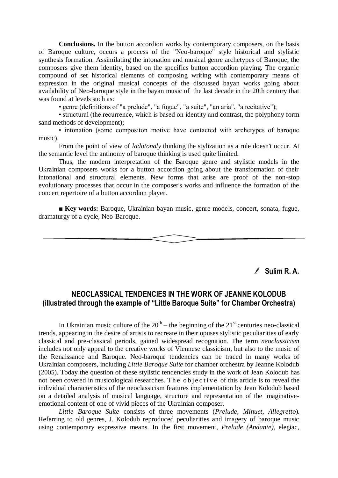**Conclusions.** In the button accordion works by contemporary composers, on the basis of Baroque culture, occurs a process of the "Neo-baroque" style historical and stylistic synthesis formation. Assimilating the intonation and musical genre archetypes of Baroque, the composers give them identity, based on the specifics button accordion playing. The organic compound of set historical elements of composing writing with contemporary means of expression in the original musical concepts of the discussed bayan works going about availability of Neo-baroque style in the bayan music of the last decade in the 20th century that was found at levels such as:

• genre (definitions of "a prelude", "a fugue", "a suite", "an aria", "a recitative");

• structural (the recurrence, which is based on identity and contrast, the polyphony form sand methods of development);

• intonation (some сompositon motive have contacted with archetypes of baroque music).

From the point of view of *ladotonaly* thinking the stylization as a rule doesn't occur. At the semantic level the antinomy of baroque thinking is used quite limited.

Thus, the modern interpretation of the Baroque genre and stylistic models in the Ukrainian composers works for a button accordion going about the transformation of their intonational and structural elements. New forms that arise are proof of the non-stop evolutionary processes that occur in the composer's works and influence the formation of the concert repertoire of a button accordion player.

■ **Key words:** Baroque, Ukrainian bayan music, genre models, concert, sonata, fugue, dramaturgy of a cycle, Neo-Baroque.

**Sulim R. A.**

# **NEOCLASSICAL TENDENCIES IN THE WORK OF JEANNE KOLODUB (illustrated through the example of "Little Baroque Suite" for Chamber Orchestra)**

In Ukrainian music culture of the  $20<sup>th</sup>$  – the beginning of the  $21<sup>st</sup>$  centuries neo-classical trends, appearing in the desire of artists to recreate in their opuses stylistic peculiarities of early classical and pre-classical periods, gained widespread recognition. The term *neoclassicism*  includes not only appeal to the creative works of Viennese classicism, but also to the music of the Renaissance and Baroque. Neo-baroque tendencies can be traced in many works of Ukrainian composers, including *Little Baroque Suite* for chamber orchestra by Jeanne Kolodub (2005). Today the question of these stylistic tendencies study in the work of Jean Kolodub has not been covered in musicological researches. The objective of this article is to reveal the individual characteristics of the neoclassicism features implementation by Jean Kolodub based on a detailed analysis of musical language, structure and representation of the imaginativeemotional content of one of vivid pieces of the Ukrainian composer.

*Little Baroque Suite* consists of three movements (*Prelude*, *Minuet*, *Allegretto*). Referring to old genres, J. Kolodub reproduced peculiarities and imagery of baroque music using contemporary expressive means. In the first movement, *Prelude (Andante)*, elegiac,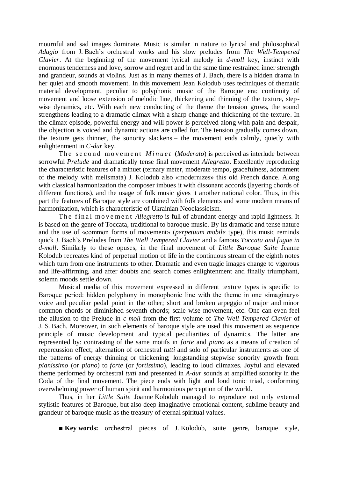mournful and sad images dominate. Music is similar in nature to lyrical and philosophical *Adagio* from J. Bach's orchestral works and his slow preludes from *The Well-Tempered Clavier*. At the beginning of the movement lyrical melody in *d-moll* key, instinct with enormous tenderness and love, sorrow and regret and in the same time restrained inner strength and grandeur, sounds at violins. Just as in many themes of J. Bach, there is a hidden drama in her quiet and smooth movement. In this movement Jean Kolodub uses techniques of thematic material development, peculiar to polyphonic music of the Baroque era: continuity of movement and loose extension of melodic line, thickening and thinning of the texture, stepwise dynamics, etc. With each new conducting of the theme the tension grows, the sound strengthens leading to a dramatic climax with a sharp change and thickening of the texture. In the climax episode, powerful energy and will power is perceived along with pain and despair, the objection is voiced and dynamic actions are called for. The tension gradually comes down, the texture gets thinner, the sonority slackens – the movement ends calmly, quietly with enlightenment in *C-dur* key.

The second movement *Minuet (Moderato)* is perceived as interlude between sorrowful *Prelude* and dramatically tense final movement *Allegretto*. Excellently reproducing the characteristic features of a minuet (ternary meter, moderate tempo, gracefulness, adornment of the melody with melismata) J. Kolodub also «modernizes» this old French dance. Along with classical harmonization the composer imbues it with dissonant accords (layering chords of different functions), and the usage of folk music gives it another national color. Thus, in this part the features of Baroque style are combined with folk elements and some modern means of harmonization, which is characteristic of Ukrainian Neoclassicism.

The final movement *Allegretto* is full of abundant energy and rapid lightness. It is based on the genre of Toccata, traditional to baroque music. By its dramatic and tense nature and the use of «common forms of movement» (*perpetuum mobile* type), this music reminds quick J. Bach's Preludes from *The Well Tempered Clavier* and a famous *Toccata and fugue in d-moll*. Similarly to these opuses, in the final movement of *Little Baroque Suite* Jeanne Kolodub recreates kind of perpetual motion of life in the continuous stream of the eighth notes which turn from one instruments to other. Dramatic and even tragic images change to vigorous and life-affirming, and after doubts and search comes enlightenment and finally triumphant, solemn moods settle down.

Musical media of this movement expressed in different texture types is specific to Baroque period: hidden polyphony in monophonic line with the theme in one «imaginary» voice and peculiar pedal point in the other; short and broken arpeggio of major and minor common chords or diminished seventh chords; scale-wise movement, etc. One can even feel the allusion to the Prelude in *c-moll* from the first volume of *The Well-Tempered Clavier* of J. S. Bach. Moreover, in such elements of baroque style are used this movement as sequence principle of music development and typical peculiarities of dynamics. The latter are represented by: contrasting of the same motifs in *forte* and *piano* as a means of creation of repercussion effect; alternation of orchestral *tutti* and solo of particular instruments as one of the patterns of energy thinning or thickening; longstanding stepwise sonority growth from *pianissimo* (or *piano*) to *forte* (or *fortissimo*), leading to loud climaxes. Joyful and elevated theme performed by orchestral *tutti* and presented in *A-dur* sounds at amplified sonority in the Coda of the final movement. The piece ends with light and loud tonic triad, conforming overwhelming power of human spirit and harmonious perception of the world.

Thus, in her *Little Suite* Joanne Kolodub managed to reproduce not only external stylistic features of Baroque, but also deep imaginative-emotional content, sublime beauty and grandeur of baroque music as the treasury of eternal spiritual values.

**■ Key words:** orchestral pieces of J. Kolodub, suite genre, baroque style,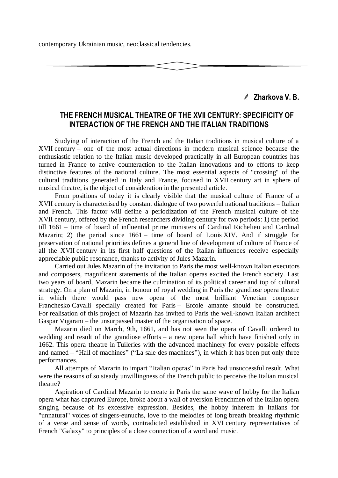contemporary Ukrainian music, neoclassical tendencies.

**Zharkova V. B.**

### **THE FRENCH MUSICAL THEATRE OF THE XVII CENTURY: SPECIFICITY OF INTERACTION OF THE FRENCH AND THE ITALIAN TRADITIONS**

Studying of interaction of the French and the Italian traditions in musical culture of a XVII century – one of the most actual directions in modern musical science because the enthusiastic relation to the Italian music developed practically in all European countries has turned in France to active counteraction to the Italian innovations and to efforts to keep distinctive features of the national culture. The most essential aspects of "crossing" of the cultural traditions generated in Italy and France, focused in XVII century art in sphere of musical theatre, is the object of consideration in the presented article.

From positions of today it is clearly visible that the musical culture of France of a XVII century is characterised by constant dialogue of two powerful national traditions – Italian and French. This factor will define a periodization of the French musical culture of the XVII century, offered by the French researchers dividing century for two periods: 1) the period till 1661 – time of board of influential prime ministers of Cardinal Richelieu and Cardinal Mazarin; 2) the period since 1661 – time of board of Louis XIV. And if struggle for preservation of national priorities defines a general line of development of culture of France of all the XVII century in its first half questions of the Italian influences receive especially appreciable public resonance, thanks to activity of Jules Mazarin.

Carried out Jules Mazarin of the invitation to Paris the most well-known Italian executors and composers, magnificent statements of the Italian operas excited the French society. Last two years of board, Mazarin became the culmination of its political career and top of cultural strategy. On a plan of Mazarin, in honour of royal wedding in Paris the grandiose opera theatre in which there would pass new opera of the most brilliant Venetian composer Franchesko Cavalli specially created for Paris – Ercole amante should be constructed. For realisation of this project of Mazarin has invited to Paris the well-known Italian architect Gaspar Vigarani – the unsurpassed master of the organisation of space.

Mazarin died on March, 9th, 1661, and has not seen the opera of Cavalli ordered to wedding and result of the grandiose efforts – a new opera hall which have finished only in 1662. This opera theatre in Tuileries with the advanced machinery for every possible effects and named  $-$  "Hall of machines" ("La sale des machines"), in which it has been put only three performances.

All attempts of Mazarin to impart "Italian operas" in Paris had unsuccessful result. What were the reasons of so steady unwillingness of the French public to perceive the Italian musical theatre?

Aspiration of Cardinal Mazarin to create in Paris the same wave of hobby for the Italian opera what has captured Europe, broke about a wall of aversion Frenchmen of the Italian opera singing because of its excessive expression. Besides, the hobby inherent in Italians for "unnatural" voices of singers-eunuchs, love to the melodies of long breath breaking rhythmic of a verse and sense of words, contradicted established in XVI century representatives of French "Galaxy" to principles of a close connection of a word and music.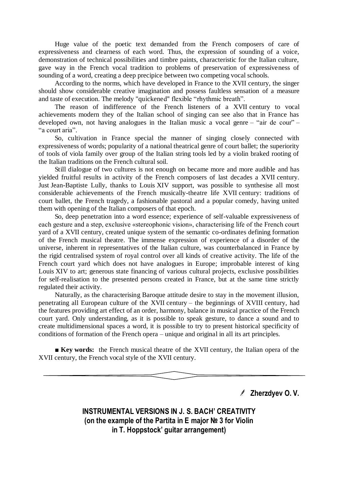Huge value of the poetic text demanded from the French composers of care of expressiveness and clearness of each word. Thus, the expression of sounding of a voice, demonstration of technical possibilities and timbre paints, characteristic for the Italian culture, gave way in the French vocal tradition to problems of preservation of expressiveness of sounding of a word, creating a deep precipice between two competing vocal schools.

According to the norms, which have developed in France to the XVII century, the singer should show considerable creative imagination and possess faultless sensation of a measure and taste of execution. The melody "quickened" flexible "rhythmic breath".

The reason of indifference of the French listeners of a XVII century to vocal achievements modern they of the Italian school of singing can see also that in France has developed own, not having analogues in the Italian music a vocal genre – "air de cour" – "a court aria".

So, cultivation in France special the manner of singing closely connected with expressiveness of words; popularity of a national theatrical genre of court ballet; the superiority of tools of viola family over group of the Italian string tools led by a violin braked rooting of the Italian traditions on the French cultural soil.

Still dialogue of two cultures is not enough on became more and more audible and has yielded fruitful results in activity of the French composers of last decades a XVII century. Just Jean-Baptiste Lully, thanks to Louis XIV support, was possible to synthesise all most considerable achievements of the French musically-theatre life XVII century: traditions of court ballet, the French tragedy, a fashionable pastoral and a popular comedy, having united them with opening of the Italian composers of that epoch.

So, deep penetration into a word essence; experience of self-valuable expressiveness of each gesture and a step, exclusive «stereophonic vision», characterising life of the French court yard of a XVII century, created unique system of the semantic co-ordinates defining formation of the French musical theatre. The immense expression of experience of a disorder of the universe, inherent in representatives of the Italian culture, was counterbalanced in France by the rigid centralised system of royal control over all kinds of creative activity. The life of the French court yard which does not have analogues in Europe; improbable interest of king Louis XIV to art; generous state financing of various cultural projects, exclusive possibilities for self-realisation to the presented persons created in France, but at the same time strictly regulated their activity.

Naturally, as the characterising Baroque attitude desire to stay in the movement illusion, penetrating all European culture of the XVII century – the beginnings of XVIII century, had the features providing art effect of an order, harmony, balance in musical practice of the French court yard. Only understanding, as it is possible to speak gesture, to dance a sound and to create multidimensional spaces a word, it is possible to try to present historical specificity of conditions of formation of the French opera – unique and original in all its art principles.

■ **Key words:** the French musical theatre of the XVII century, the Italian opera of the XVII century, the French vocal style of the XVII century.

**Zherzdyev O. V.**

**INSTRUMENTAL VERSIONS IN J. S. BACH' CREATIVITY (on the example of the Partita in E major № 3 for Violin in T. Hoppstock' guitar arrangement)**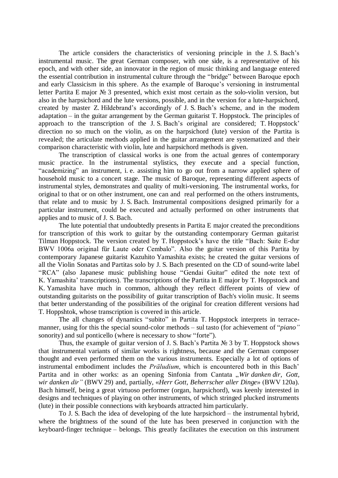The article considers the characteristics of versioning principle in the J. S. Bach's instrumental music. The great German composer, with one side, is a representative of his epoch, and with other side, an innovator in the region of music thinking and language entered the essential contribution in instrumental culture through the "bridge" between Baroque epoch and early Classicism in this sphere. As the example of Baroque's versioning in instrumental letter Partita E major № 3 presented, which exist most certain as the solo-violin version, but also in the harpsichord and the lute versions, possible, and in the version for a lute-harpsichord, created by master Z. Hildebrand's accordingly of J. S. Bach's scheme, and in the modem adaptation – in the guitar arrangement by the German guitarist T. Hoppstock. The principles of approach to the transcription of the J. S. Bach's original are considered; T. Hoppstock' direction no so much on the violin, as on the harpsichord (lute) version of the Partita is revealed; the articulate methods applied in the guitar arrangement are systematized and their comparison characteristic with violin, lute and harpsichord methods is given.

The transcription of classical works is one from the actual genres of contemporary music practice. In the instrumental stylistics, they execute and a special function, "academizing" an instrument, i. e. assisting him to go out from a narrow applied sphere of household music to a concert stage. The music of Baroque, representing different aspects of instrumental styles, demonstrates and quality of multi-versioning. The instrumental works, for original to that or on other instrument, one can and real performed on the others instruments, that relate and to music by J. S. Bach. Instrumental compositions designed primarily for a particular instrument, could be executed and actually performed on other instruments that applies and to music of J. S. Bach.

The lute potential that undoubtedly presents in Partita E major created the preconditions for transcription of this work to guitar by the outstanding contemporary German guitarist Tilman Hoppstock. The version created by T. Hoppstock's have the title "Bach: Suite E-dur BWV 1006a original für Laute oder Cembalo". Also the guitar version of this Partita by contemporary Japanese guitarist Kazuhito Yamashita exists; he created the guitar versions of all the Violin Sonatas and Partitas solo by J. S. Bach presented on the CD of sound-write label "RCA" (also Japanese music publishing house "Gendai Guitar" edited the note text of K. Yamashita' transcriptions). The transcriptions of the Partita in E major by T. Hoppstock and K. Yamashita have much in common, although they reflect different points of view of outstanding guitarists on the possibility of guitar transcription of Bach's violin music. It seems that better understanding of the possibilities of the original for creation different versions had T. Hoppshtok, whose transcription is covered in this article.

The all changes of dynamics "subito" in Partita T. Hoppstock interprets in terracemanner, using for this the special sound-color methods – sul tasto (for achievement of "*piano*" sonority) and sul ponticello (where is necessary to show "forte").

Thus, the example of guitar version of J. S. Bach's Partita № 3 by T. Hoppstock shows that instrumental variants of similar works is rightness, because and the German composer thought and even performed them on the various instruments. Especially a lot of options of instrumental embodiment includes the *Präludium*, which is encountered both in this Bach' Partita and in other works: as an opening Sinfonia from Cantata "Wir danken dir, Gott, *wir danken dir"* (BWV 29) and, partially, «*Herr Gott, Beherrscher aller Dinge*» (BWV 120a). Bach himself, being a great virtuoso performer (organ, harpsichord), was keenly interested in designs and techniques of playing on other instruments, of which stringed plucked instruments (lute) in their possible connections with keyboards attracted him particularly.

To J. S. Bach the idea of developing of the lute harpsichord – the instrumental hybrid, where the brightness of the sound of the lute has been preserved in conjunction with the keyboard-finger technique – belongs. This greatly facilitates the execution on this instrument